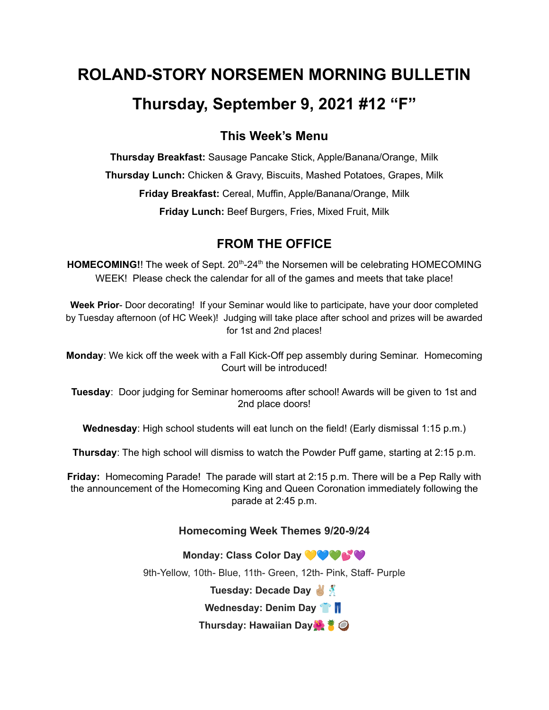# **ROLAND-STORY NORSEMEN MORNING BULLETIN Thursday, September 9, 2021 #12 "F"**

# **This Week's Menu**

**Thursday Breakfast:** Sausage Pancake Stick, Apple/Banana/Orange, Milk **Thursday Lunch:** Chicken & Gravy, Biscuits, Mashed Potatoes, Grapes, Milk **Friday Breakfast:** Cereal, Muffin, Apple/Banana/Orange, Milk **Friday Lunch:** Beef Burgers, Fries, Mixed Fruit, Milk

# **FROM THE OFFICE**

HOMECOMING!! The week of Sept. 20<sup>th</sup>-24<sup>th</sup> the Norsemen will be celebrating HOMECOMING WEEK! Please check the calendar for all of the games and meets that take place!

**Week Prior**- Door decorating! If your Seminar would like to participate, have your door completed by Tuesday afternoon (of HC Week)! Judging will take place after school and prizes will be awarded for 1st and 2nd places!

**Monday**: We kick off the week with a Fall Kick-Off pep assembly during Seminar. Homecoming Court will be introduced!

**Tuesday**: Door judging for Seminar homerooms after school! Awards will be given to 1st and 2nd place doors!

**Wednesday**: High school students will eat lunch on the field! (Early dismissal 1:15 p.m.)

**Thursday**: The high school will dismiss to watch the Powder Puff game, starting at 2:15 p.m.

**Friday:** Homecoming Parade! The parade will start at 2:15 p.m. There will be a Pep Rally with the announcement of the Homecoming King and Queen Coronation immediately following the parade at 2:45 p.m.

## **Homecoming Week Themes 9/20-9/24**

**Monday: Class Color Day** 9th-Yellow, 10th- Blue, 11th- Green, 12th- Pink, Staff- Purple **Tuesday: Decade Day Wednesday: Denim Day Thursday: Hawaiian Day**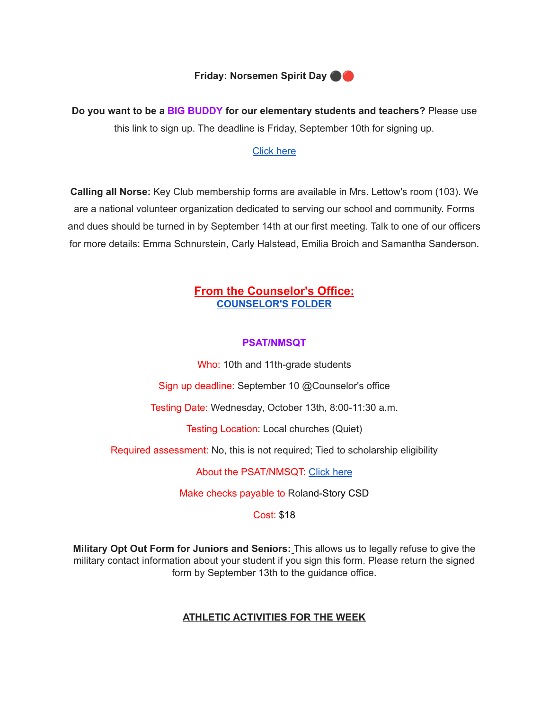

**Do you want to be a BIG BUDDY for our elementary students and teachers?** Please use this link to sign up. The deadline is Friday, September 10th for signing up.

#### [Click](https://docs.google.com/forms/d/e/1FAIpQLSdnBOSS22yKxjrGxKALRfMidQdbVCa4CbkF2FpWLlV-1YgPew/viewform?usp=sf_) here

**Calling all Norse:** Key Club membership forms are available in Mrs. Lettow's room (103). We are a national volunteer organization dedicated to serving our school and community. Forms and dues should be turned in by September 14th at our first meeting. Talk to one of our officers for more details: Emma Schnurstein, Carly Halstead, Emilia Broich and Samantha Sanderson.

## **From the Counselor's Office: [COUNSELOR'S](https://docs.google.com/document/d/1vmwczNPbDzXe9vFaG5LJMQ7NYDv-i4oQJHybqA65TUc/edit?usp=sharing) FOLDER**

#### **PSAT/NMSQT**

Who: 10th and 11th-grade students

Sign up deadline: September 10 @Counselor's office

Testing Date: Wednesday, October 13th, 8:00-11:30 a.m.

Testing Location: Local churches (Quiet)

Required assessment: No, this is not required; Tied to scholarship eligibility

About the PSAT/NMSQT: [Click](https://collegereadiness.collegeboard.org/psat-nmsqt-psat-10/inside-the-test) here

Make checks payable to Roland-Story CSD

#### Cost: \$18

**Military Opt Out Form for Juniors and Seniors:** This allows us to legally refuse to give the military contact information about your student if you sign this form. Please return the signed form by September 13th to the guidance office.

## **ATHLETIC ACTIVITIES FOR THE WEEK**